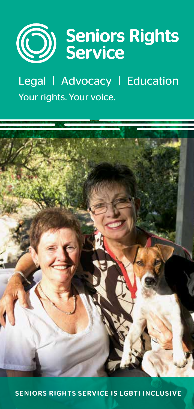

Legal | Advocacy | Education Your rights. Your voice.



SENIORS RIGHTS SERVICE IS LGBTI INCLUSIVE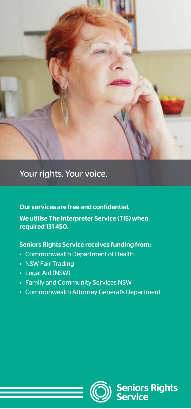

## Your rights. Your voice.

Our services are free and confidential. We utilise The Interpreter Service (TIS) when required 131 450.

### Seniors Rights Service receives funding from:

- Commonwealth Department of Health
- NSW Fair Trading
- Legal Aid (NSW)
- Family and Community Services NSW
- Commonwealth Attorney General's Department



**Seniors Rights**<br>Service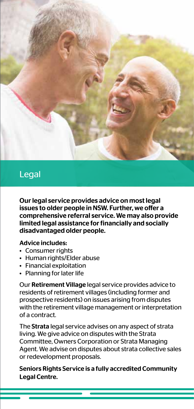

### Legal Advocacy Education and Education and

Our legal service provides advice on most legal issues to older people in NSW. Further, we offer a comprehensive referral service. We may also provide limited legal assistance for financially and socially disadvantaged older people.

#### Advice includes:

- Consumer rights
- Human rights/Elder abuse
- Financial exploitation
- Planning for later life

Our Retirement Village legal service provides advice to residents of retirement villages (including former and prospective residents) on issues arising from disputes with the retirement village management or interpretation of a contract.

The Strata legal service advises on any aspect of strata living. We give advice on disputes with the Strata Committee, Owners Corporation or Strata Managing Agent. We advise on disputes about strata collective sales or redevelopment proposals.

Seniors Rights Service is a fully accredited Community Legal Centre.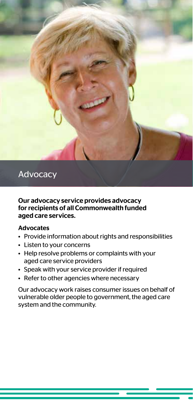

### **Legal Advocacy** Education Advocacy Education Advocacy

#### Our advocacy service provides advocacy for recipients of all Commonwealth funded aged care services.

#### Advocates

- Provide information about rights and responsibilities
- Listen to your concerns
- Help resolve problems or complaints with your aged care service providers
- Speak with your service provider if required
- Refer to other agencies where necessary

Our advocacy work raises consumer issues on behalf of vulnerable older people to government, the aged care system and the community.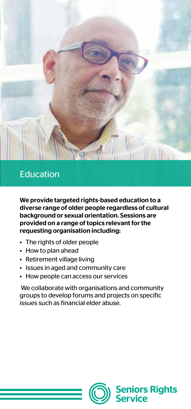

## **Legal Advisory Education**

We provide targeted rights-based education to a diverse range of older people regardless of cultural background or sexual orientation. Sessions are provided on a range of topics relevant for the requesting organisation including:

- The rights of older people
- How to plan ahead
- Retirement village living
- Issues in aged and community care
- How people can access our services

 We collaborate with organisations and community groups to develop forums and projects on specific issues such as financial elder abuse.